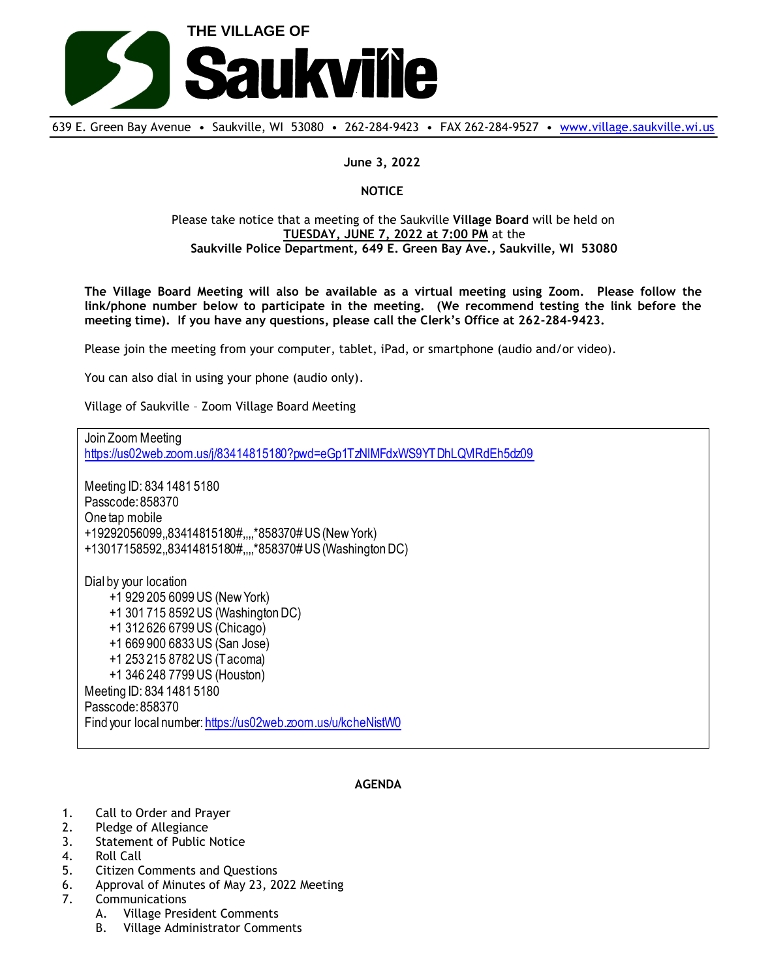

639 E. Green Bay Avenue • Saukville, WI 53080 • 262-284-9423 • FAX 262-284-9527 • [www.village.saukville.wi.us](http://www.village.saukville.wi.us/)

**June 3, 2022**

## **NOTICE**

## Please take notice that a meeting of the Saukville **Village Board** will be held on **TUESDAY, JUNE 7, 2022 at 7:00 PM** at the **Saukville Police Department, 649 E. Green Bay Ave., Saukville, WI 53080**

**The Village Board Meeting will also be available as a virtual meeting using Zoom. Please follow the link/phone number below to participate in the meeting. (We recommend testing the link before the meeting time). If you have any questions, please call the Clerk's Office at 262-284-9423.**

Please join the meeting from your computer, tablet, iPad, or smartphone (audio and/or video).

You can also dial in using your phone (audio only).

Village of Saukville – Zoom Village Board Meeting

Join Zoom Meeting https://us02web.zoom.us/j/83414815180?pwd=eGp1TzNlMFdxWS9YTDhLQVlRdEh5dz09 Meeting ID: 834 1481 5180 Passcode: 858370 One tap mobile +19292056099,,83414815180#,,,,\*858370# US (New York) +13017158592,,83414815180#,,,,\*858370# US (Washington DC) Dial by your location +1 929 205 6099 US (New York) +1 301 715 8592 US (Washington DC) +1 312 626 6799 US (Chicago) +1 669 900 6833 US (San Jose) +1 253 215 8782 US (Tacoma) +1 346 248 7799 US (Houston) Meeting ID: 834 1481 5180 Passcode: 858370 Find your local number: https://us02web.zoom.us/u/kcheNistW0

## **AGENDA**

- 1. Call to Order and Prayer
- 2. Pledge of Allegiance
- 3. Statement of Public Notice
- 4. Roll Call
- 5. Citizen Comments and Questions
- 6. Approval of Minutes of May 23, 2022 Meeting
- 7. Communications
	- A. Village President Comments
	- B. Village Administrator Comments